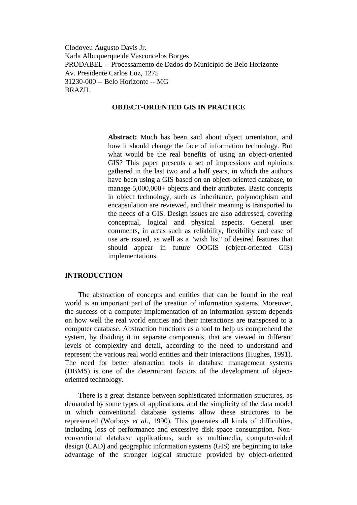Clodoveu Augusto Davis Jr. Karla Albuquerque de Vasconcelos Borges PRODABEL -- Processamento de Dados do Município de Belo Horizonte Av. Presidente Carlos Luz, 1275 31230-000 -- Belo Horizonte -- MG BRAZIL

### **OBJECT-ORIENTED GIS IN PRACTICE**

**Abstract:** Much has been said about object orientation, and how it should change the face of information technology. But what would be the real benefits of using an object-oriented GIS? This paper presents a set of impressions and opinions gathered in the last two and a half years, in which the authors have been using a GIS based on an object-oriented database, to manage  $5,000,000+$  objects and their attributes. Basic concepts in object technology, such as inheritance, polymorphism and encapsulation are reviewed, and their meaning is transported to the needs of a GIS. Design issues are also addressed, covering conceptual, logical and physical aspects. General user comments, in areas such as reliability, flexibility and ease of use are issued, as well as a "wish list" of desired features that should appear in future OOGIS (object-oriented GIS) implementations.

#### **INTRODUCTION**

The abstraction of concepts and entities that can be found in the real world is an important part of the creation of information systems. Moreover, the success of a computer implementation of an information system depends on how well the real world entities and their interactions are transposed to a computer database. Abstraction functions as a tool to help us comprehend the system, by dividing it in separate components, that are viewed in different levels of complexity and detail, according to the need to understand and represent the various real world entities and their interactions (Hughes, 1991). The need for better abstraction tools in database management systems (DBMS) is one of the determinant factors of the development of objectoriented technology.

There is a great distance between sophisticated information structures, as demanded by some types of applications, and the simplicity of the data model in which conventional database systems allow these structures to be represented (Worboys *et al.*, 1990). This generates all kinds of difficulties, including loss of performance and excessive disk space consumption. Nonconventional database applications, such as multimedia, computer-aided design (CAD) and geographic information systems (GIS) are beginning to take advantage of the stronger logical structure provided by object-oriented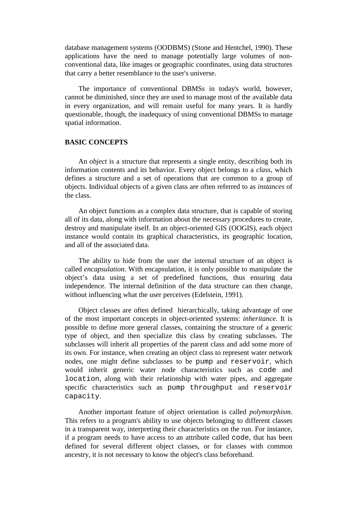database management systems (OODBMS) (Stone and Hentchel, 1990). These applications have the need to manage potentially large volumes of nonconventional data, like images or geographic coordinates, using data structures that carry a better resemblance to the user's universe.

The importance of conventional DBMSs in today's world, however, cannot be diminished, since they are used to manage most of the available data in every organization, and will remain useful for many years. It is hardly questionable, though, the inadequacy of using conventional DBMSs to manage spatial information.

# **BASIC CONCEPTS**

An *object* is a structure that represents a single entity, describing both its information contents and its behavior. Every object belongs to a *class*, which defines a structure and a set of operations that are common to a group of objects. Individual objects of a given class are often referred to as *instances* of the class.

An object functions as a complex data structure, that is capable of storing all of its data, along with information about the necessary procedures to create, destroy and manipulate itself. In an object-oriented GIS (OOGIS), each object instance would contain its graphical characteristics, its geographic location, and all of the associated data.

The ability to hide from the user the internal structure of an object is called *encapsulation*. With encapsulation, it is only possible to manipulate the object's data using a set of predefined functions, thus ensuring data independence. The internal definition of the data structure can then change, without influencing what the user perceives (Edelstein, 1991).

Object classes are often defined hierarchically, taking advantage of one of the most important concepts in object-oriented systems: *inheritance*. It is possible to define more general classes, containing the structure of a generic type of object, and then specialize this class by creating subclasses. The subclasses will inherit all properties of the parent class and add some more of its own. For instance, when creating an object class to represent water network nodes, one might define subclasses to be pump and reservoir, which would inherit generic water node characteristics such as code and location, along with their relationship with water pipes, and aggregate specific characteristics such as pump throughput and reservoir capacity.

Another important feature of object orientation is called *polymorphism*. This refers to a program's ability to use objects belonging to different classes in a transparent way, interpreting their characteristics on the run. For instance, if a program needs to have access to an attribute called code, that has been defined for several different object classes, or for classes with common ancestry, it is not necessary to know the object's class beforehand.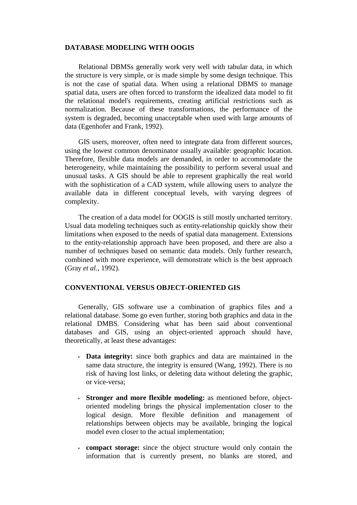### **DATABASE MODELING WITH OOGIS**

Relational DBMSs generally work very well with tabular data, in which the structure is very simple, or is made simple by some design technique. This is not the case of spatial data. When using a relational DBMS to manage spatial data, users are often forced to transform the idealized data model to fit the relational model's requirements, creating artificial restrictions such as normalization. Because of these transformations, the performance of the system is degraded, becoming unacceptable when used with large amounts of data (Egenhofer and Frank, 1992).

GIS users, moreover, often need to integrate data from different sources, using the lowest common denominator usually available: geographic location. Therefore, flexible data models are demanded, in order to accommodate the heterogeneity, while maintaining the possibility to perform several usual and unusual tasks. A GIS should be able to represent graphically the real world with the sophistication of a CAD system, while allowing users to analyze the available data in different conceptual levels, with varying degrees of complexity.

The creation of a data model for OOGIS is still mostly uncharted territory. Usual data modeling techniques such as entity-relationship quickly show their limitations when exposed to the needs of spatial data management. Extensions to the entity-relationship approach have been proposed, and there are also a number of techniques based on semantic data models. Only further research, combined with more experience, will demonstrate which is the best approach (Gray *et al.*, 1992).

#### **CONVENTIONAL VERSUS OBJECT-ORIENTED GIS**

Generally, GIS software use a combination of graphics files and a relational database. Some go even further, storing both graphics and data in the relational DMBS. Considering what has been said about conventional databases and GIS, using an object-oriented approach should have, theoretically, at least these advantages:

- **Data integrity:** since both graphics and data are maintained in the same data structure, the integrity is ensured (Wang, 1992). There is no risk of having lost links, or deleting data without deleting the graphic, or vice-versa;
- **Stronger and more flexible modeling:** as mentioned before, objectoriented modeling brings the physical implementation closer to the logical design. More flexible definition and management of relationships between objects may be available, bringing the logical model even closer to the actual implementation;
- **compact storage:** since the object structure would only contain the information that is currently present, no blanks are stored, and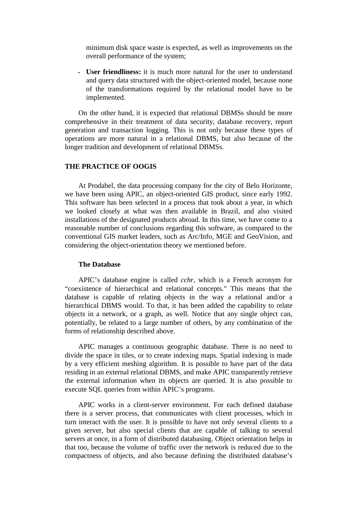minimum disk space waste is expected, as well as improvements on the overall performance of the system;

• **User friendliness:** it is much more natural for the user to understand and query data structured with the object-oriented model, because none of the transformations required by the relational model have to be implemented.

On the other hand, it is expected that relational DBMSs should be more comprehensive in their treatment of data security, database recovery, report generation and transaction logging. This is not only because these types of operations are more natural in a relational DBMS, but also because of the longer tradition and development of relational DBMSs.

#### **THE PRACTICE OF OOGIS**

At Prodabel, the data processing company for the city of Belo Horizonte, we have been using APIC, an object-oriented GIS product, since early 1992. This software has been selected in a process that took about a year, in which we looked closely at what was then available in Brazil, and also visited installations of the designated products abroad. In this time, we have come to a reasonable number of conclusions regarding this software, as compared to the conventional GIS market leaders, such as Arc/Info, MGE and GeoVision, and considering the object-orientation theory we mentioned before.

#### **The Database**

APIC's database engine is called *cchr*, which is a French acronym for "coexistence of hierarchical and relational concepts." This means that the database is capable of relating objects in the way a relational and/or a hierarchical DBMS would. To that, it has been added the capability to relate objects in a network, or a graph, as well. Notice that any single object can, potentially, be related to a large number of others, by any combination of the forms of relationship described above.

APIC manages a continuous geographic database. There is no need to divide the space in tiles, or to create indexing maps. Spatial indexing is made by a very efficient meshing algorithm. It is possible to have part of the data residing in an external relational DBMS, and make APIC transparently retrieve the external information when its objects are queried. It is also possible to execute SQL queries from within APIC's programs.

APIC works in a client-server environment. For each defined database there is a server process, that communicates with client processes, which in turn interact with the user. It is possible to have not only several clients to a given server, but also special clients that are capable of talking to several servers at once, in a form of distributed databasing. Object orientation helps in that too, because the volume of traffic over the network is reduced due to the compactness of objects, and also because defining the distributed database's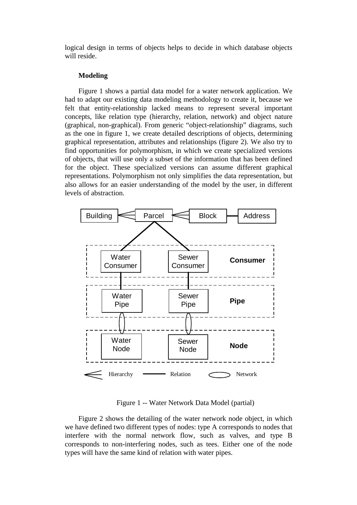logical design in terms of objects helps to decide in which database objects will reside.

#### **Modeling**

Figure 1 shows a partial data model for a water network application. We had to adapt our existing data modeling methodology to create it, because we felt that entity-relationship lacked means to represent several important concepts, like relation type (hierarchy, relation, network) and object nature (graphical, non-graphical). From generic "object-relationship" diagrams, such as the one in figure 1, we create detailed descriptions of objects, determining graphical representation, attributes and relationships (figure 2). We also try to find opportunities for polymorphism, in which we create specialized versions of objects, that will use only a subset of the information that has been defined for the object. These specialized versions can assume different graphical representations. Polymorphism not only simplifies the data representation, but also allows for an easier understanding of the model by the user, in different levels of abstraction.



Figure 1 -- Water Network Data Model (partial)

Figure 2 shows the detailing of the water network node object, in which we have defined two different types of nodes: type A corresponds to nodes that interfere with the normal network flow, such as valves, and type B corresponds to non-interfering nodes, such as tees. Either one of the node types will have the same kind of relation with water pipes.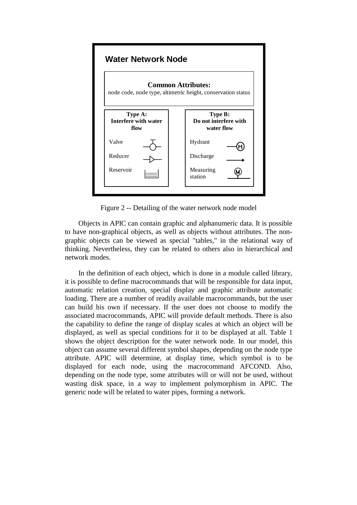

Figure 2 -- Detailing of the water network node model

Objects in APIC can contain graphic and alphanumeric data. It is possible to have non-graphical objects, as well as objects without attributes. The nongraphic objects can be viewed as special "tables," in the relational way of thinking. Nevertheless, they can be related to others also in hierarchical and network modes.

In the definition of each object, which is done in a module called library, it is possible to define macrocommands that will be responsible for data input, automatic relation creation, special display and graphic attribute automatic loading. There are a number of readily available macrocommands, but the user can build his own if necessary. If the user does not choose to modify the associated macrocommands, APIC will provide default methods. There is also the capability to define the range of display scales at which an object will be displayed, as well as special conditions for it to be displayed at all. Table 1 shows the object description for the water network node. In our model, this object can assume several different symbol shapes, depending on the node type attribute. APIC will determine, at display time, which symbol is to be displayed for each node, using the macrocommand AFCOND. Also, depending on the node type, some attributes will or will not be used, without wasting disk space, in a way to implement polymorphism in APIC. The generic node will be related to water pipes, forming a network.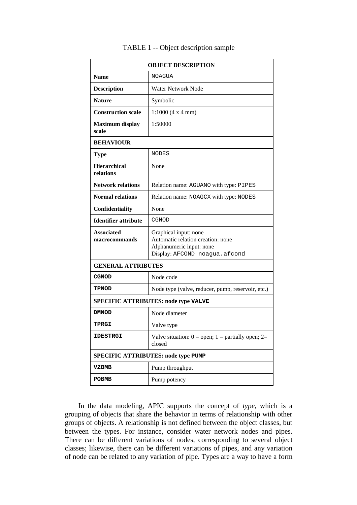| <b>OBJECT DESCRIPTION</b>                  |                                                                                                                         |
|--------------------------------------------|-------------------------------------------------------------------------------------------------------------------------|
| <b>Name</b>                                | NOAGUA                                                                                                                  |
| <b>Description</b>                         | <b>Water Network Node</b>                                                                                               |
| <b>Nature</b>                              | Symbolic                                                                                                                |
| <b>Construction scale</b>                  | 1:1000(4 x 4 mm)                                                                                                        |
| <b>Maximum</b> display<br>scale            | 1:50000                                                                                                                 |
| <b>BEHAVIOUR</b>                           |                                                                                                                         |
| <b>Type</b>                                | <b>NODES</b>                                                                                                            |
| <b>Hierarchical</b><br>relations           | None                                                                                                                    |
| <b>Network relations</b>                   | Relation name: AGUANO with type: PIPES                                                                                  |
| <b>Normal relations</b>                    | Relation name: NOAGCX with type: NODES                                                                                  |
| Confidentiality                            | None                                                                                                                    |
| <b>Identifier attribute</b>                | CGNOD                                                                                                                   |
| <b>Associated</b><br>macrocommands         | Graphical input: none<br>Automatic relation creation: none<br>Alphanumeric input: none<br>Display: AFCOND noagua.afcond |
| <b>GENERAL ATTRIBUTES</b>                  |                                                                                                                         |
| <b>CGNOD</b>                               | Node code                                                                                                               |
| <b>TPNOD</b>                               | Node type (valve, reducer, pump, reservoir, etc.)                                                                       |
| SPECIFIC ATTRIBUTES: node type VALVE       |                                                                                                                         |
| <b>DMNOD</b>                               | Node diameter                                                                                                           |
| <b>TPRGI</b>                               | Valve type                                                                                                              |
| <b>IDESTRGI</b>                            | Valve situation: $0 =$ open; $1 =$ partially open; $2=$<br>closed                                                       |
| <b>SPECIFIC ATTRIBUTES: node type PUMP</b> |                                                                                                                         |
| VZBMB                                      | Pump throughput                                                                                                         |
| <b>POBMB</b>                               | Pump potency                                                                                                            |

## TABLE 1 -- Object description sample

In the data modeling, APIC supports the concept of *type*, which is a grouping of objects that share the behavior in terms of relationship with other groups of objects. A relationship is not defined between the object classes, but between the types. For instance, consider water network nodes and pipes. There can be different variations of nodes, corresponding to several object classes; likewise, there can be different variations of pipes, and any variation of node can be related to any variation of pipe. Types are a way to have a form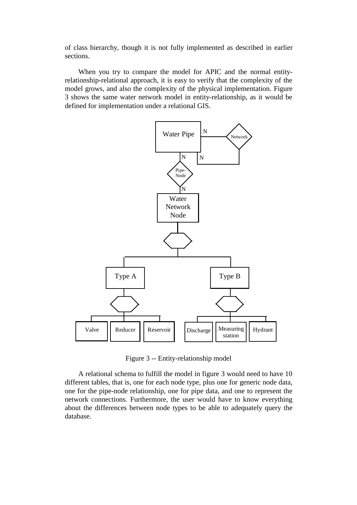of class hierarchy, though it is not fully implemented as described in earlier sections.

When you try to compare the model for APIC and the normal entityrelationship-relational approach, it is easy to verify that the complexity of the model grows, and also the complexity of the physical implementation. Figure 3 shows the same water network model in entity-relationship, as it would be defined for implementation under a relational GIS.



Figure 3 -- Entity-relationship model

A relational schema to fulfill the model in figure 3 would need to have 10 different tables, that is, one for each node type, plus one for generic node data, one for the pipe-node relationship, one for pipe data, and one to represent the network connections. Furthermore, the user would have to know everything about the differences between node types to be able to adequately query the database.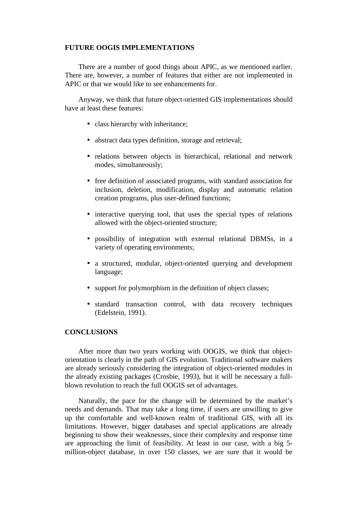## **FUTURE OOGIS IMPLEMENTATIONS**

There are a number of good things about APIC, as we mentioned earlier. There are, however, a number of features that either are not implemented in APIC or that we would like to see enhancements for.

Anyway, we think that future object-oriented GIS implementations should have at least these features:

- class hierarchy with inheritance:
- abstract data types definition, storage and retrieval;
- relations between objects in hierarchical, relational and network modes, simultaneously;
- free definition of associated programs, with standard association for inclusion, deletion, modification, display and automatic relation creation programs, plus user-defined functions;
- interactive querying tool, that uses the special types of relations allowed with the object-oriented structure;
- possibility of integration with external relational DBMSs, in a variety of operating environments;
- a structured, modular, object-oriented querying and development language;
- support for polymorphism in the definition of object classes;
- standard transaction control, with data recovery techniques (Edelstein, 1991).

## **CONCLUSIONS**

After more than two years working with OOGIS, we think that objectorientation is clearly in the path of GIS evolution. Traditional software makers are already seriously considering the integration of object-oriented modules in the already existing packages (Crosbie, 1993), but it will be necessary a fullblown revolution to reach the full OOGIS set of advantages.

Naturally, the pace for the change will be determined by the market's needs and demands. That may take a long time, if users are unwilling to give up the comfortable and well-known realm of traditional GIS, with all its limitations. However, bigger databases and special applications are already beginning to show their weaknesses, since their complexity and response time are approaching the limit of feasibility. At least in our case, with a big 5 million-object database, in over 150 classes, we are sure that it would be